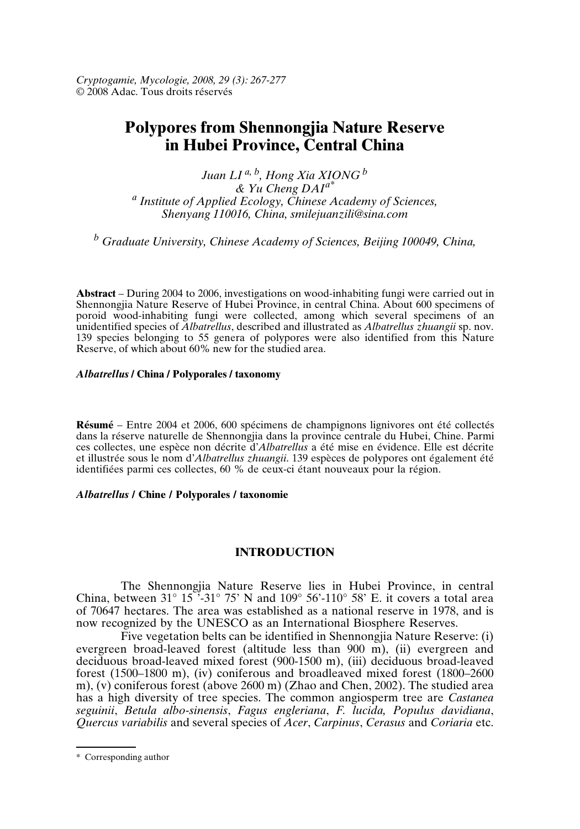*Cryptogamie, Mycologie, 2008, 29 (3): 267-277* © 2008 Adac. Tous droits réservés

# **Polypores from Shennongjia Nature Reserve in Hubei Province, Central China**

*Juan LI a, <sup>b</sup> , Hong Xia XIONG <sup>b</sup> & Yu Cheng DAIa\* a Institute of Applied Ecology, Chinese Academy of Sciences, Shenyang 110016, China, smilejuanzili@sina.com*

*<sup>b</sup> Graduate University, Chinese Academy of Sciences, Beijing 100049, China,*

**Abstract** – During 2004 to 2006, investigations on wood-inhabiting fungi were carried out in Shennongjia Nature Reserve of Hubei Province, in central China. About 600 specimens of poroid wood-inhabiting fungi were collected, among which several specimens of an unidentified species of *Albatrellus*, described and illustrated as *Albatrellus zhuangii* sp. nov. 139 species belonging to 55 genera of polypores were also identified from this Nature Reserve, of which about 60% new for the studied area.

#### *Albatrellus* **/ China / Polyporales / taxonomy**

**Résumé** – Entre 2004 et 2006, 600 spécimens de champignons lignivores ont été collectés dans la réserve naturelle de Shennongjia dans la province centrale du Hubei, Chine. Parmi ces collectes, une espèce non décrite d'*Albatrellus* a été mise en évidence. Elle est décrite et illustrée sous le nom d'*Albatrellus zhuangii*. 139 espèces de polypores ont également été identifiées parmi ces collectes, 60 % de ceux-ci étant nouveaux pour la région.

#### *Albatrellus* **/ Chine / Polyporales / taxonomie**

### **INTRODUCTION**

The Shennongjia Nature Reserve lies in Hubei Province, in central China, between 31° 15<sup>"</sup>. 31° 75' N and 109° 56'-110° 58' E. it covers a total area of 70647 hectares. The area was established as a national reserve in 1978, and is now recognized by the UNESCO as an International Biosphere Reserves.

Five vegetation belts can be identified in Shennongjia Nature Reserve: (i) evergreen broad-leaved forest (altitude less than 900 m), (ii) evergreen and deciduous broad-leaved mixed forest (900-1500 m), (iii) deciduous broad-leaved forest (1500–1800 m), (iv) coniferous and broadleaved mixed forest (1800–2600 m), (v) coniferous forest (above 2600 m) (Zhao and Chen, 2002). The studied area has a high diversity of tree species. The common angiosperm tree are *Castanea seguinii*, *Betula albo-sinensis*, *Fagus engleriana*, *F. lucida, Populus davidiana*, *Quercus variabilis* and several species of *Acer*, *Carpinus*, *Cerasus* and *Coriaria* etc.

<sup>\*</sup> Corresponding author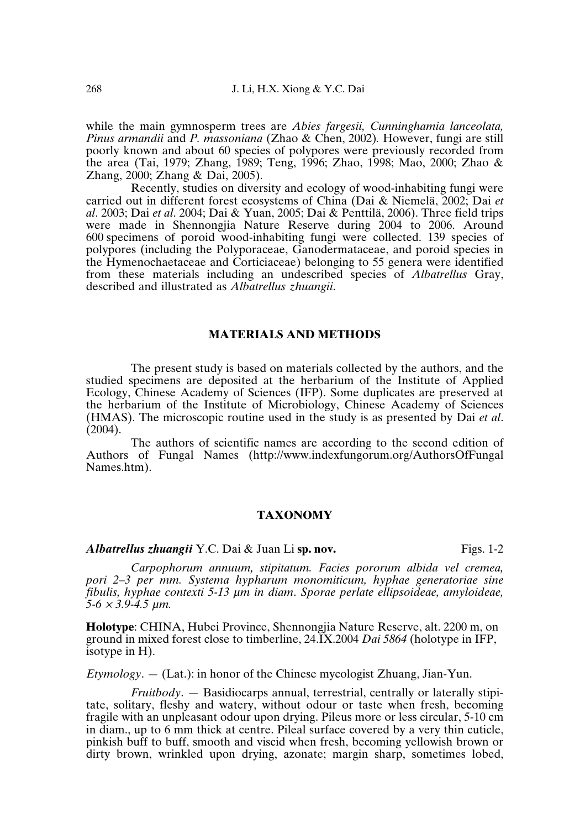while the main gymnosperm trees are *Abies fargesii, Cunninghamia lanceolata, Pinus armandii* and *P. massoniana* (Zhao & Chen, 2002)*.* However, fungi are still poorly known and about 60 species of polypores were previously recorded from the area (Tai, 1979; Zhang, 1989; Teng, 1996; Zhao, 1998; Mao, 2000; Zhao & Zhang, 2000; Zhang & Dai, 2005).

Recently, studies on diversity and ecology of wood-inhabiting fungi were carried out in different forest ecosystems of China (Dai & Niemelä, 2002; Dai *et al*. 2003; Dai *et al*. 2004; Dai & Yuan, 2005; Dai & Penttilä, 2006). Three field trips were made in Shennongjia Nature Reserve during 2004 to 2006. Around 600 specimens of poroid wood-inhabiting fungi were collected. 139 species of polypores (including the Polyporaceae, Ganodermataceae, and poroid species in the Hymenochaetaceae and Corticiaceae) belonging to 55 genera were identified from these materials including an undescribed species of *Albatrellus* Gray, described and illustrated as *Albatrellus zhuangii*.

#### **MATERIALS AND METHODS**

The present study is based on materials collected by the authors, and the studied specimens are deposited at the herbarium of the Institute of Applied Ecology, Chinese Academy of Sciences (IFP). Some duplicates are preserved at the herbarium of the Institute of Microbiology, Chinese Academy of Sciences (HMAS). The microscopic routine used in the study is as presented by Dai *et al*. (2004).

The authors of scientific names are according to the second edition of Authors of Fungal Names (http://www.indexfungorum.org/AuthorsOfFungal Names.htm).

## **TAXONOMY**

*Albatrellus zhuangii* Y.C. Dai & Juan Li sp. nov. Figs. 1-2

*Carpophorum annuum, stipitatum. Facies pororum albida vel cremea, pori 2–3 per mm. Systema hypharum monomiticum, hyphae generatoriae sine fibulis, hyphae contexti 5-13 µm in diam*. *Sporae perlate ellipsoideae, amyloideae, 5-6* <sup>×</sup> *3.9-4.5 µm.*

**Holotype**: CHINA, Hubei Province, Shennongjia Nature Reserve, alt. 2200 m, on ground in mixed forest close to timberline, 24.IX.2004 *Dai 5864* (holotype in IFP, isotype in H).

*Etymology*. — (Lat.): in honor of the Chinese mycologist Zhuang, Jian-Yun.

*Fruitbody*. — Basidiocarps annual, terrestrial, centrally or laterally stipitate, solitary, fleshy and watery, without odour or taste when fresh, becoming fragile with an unpleasant odour upon drying. Pileus more or less circular, 5-10 cm in diam., up to 6 mm thick at centre. Pileal surface covered by a very thin cuticle, pinkish buff to buff, smooth and viscid when fresh, becoming yellowish brown or dirty brown, wrinkled upon drying, azonate; margin sharp, sometimes lobed,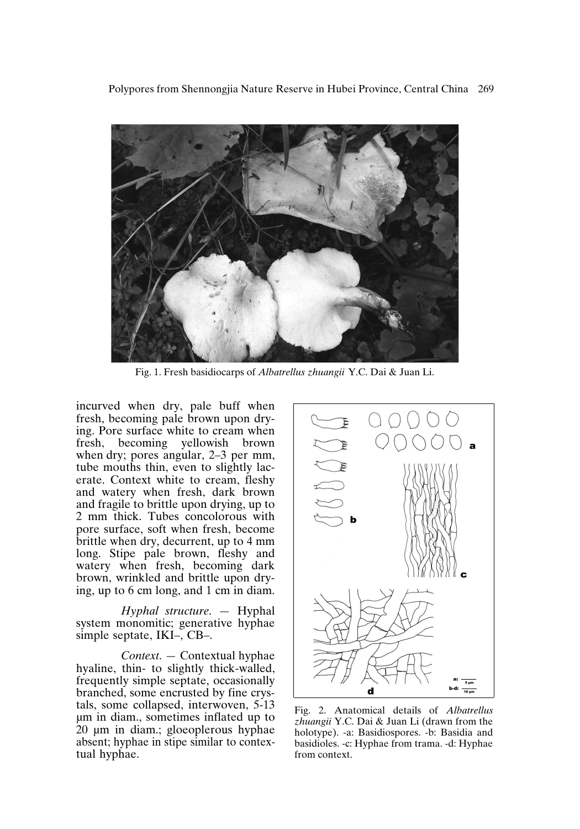

Fig. 1. Fresh basidiocarps of *Albatrellus zhuangii* Y.C. Dai & Juan Li.

incurved when dry, pale buff when fresh, becoming pale brown upon drying. Pore surface white to cream when<br>fresh, becoming yellowish brown becoming yellowish brown when dry; pores angular, 2–3 per mm, tube mouths thin, even to slightly lacerate. Context white to cream, fleshy and watery when fresh, dark brown and fragile to brittle upon drying, up to 2 mm thick. Tubes concolorous with pore surface, soft when fresh, become brittle when dry, decurrent, up to 4 mm long. Stipe pale brown, fleshy and watery when fresh, becoming dark brown, wrinkled and brittle upon drying, up to 6 cm long, and 1 cm in diam.

*Hyphal structure*. — Hyphal system monomitic; generative hyphae simple septate, IKI–, CB–.

*Context*. — Contextual hyphae hyaline, thin- to slightly thick-walled, frequently simple septate, occasionally branched, some encrusted by fine crystals, some collapsed, interwoven, 5-13 µm in diam., sometimes inflated up to 20 µm in diam.; gloeoplerous hyphae absent; hyphae in stipe similar to contextual hyphae.



Fig. 2. Anatomical details of *Albatrellus zhuangii* Y.C. Dai & Juan Li (drawn from the holotype). -a: Basidiospores. -b: Basidia and basidioles. -c: Hyphae from trama. -d: Hyphae from context.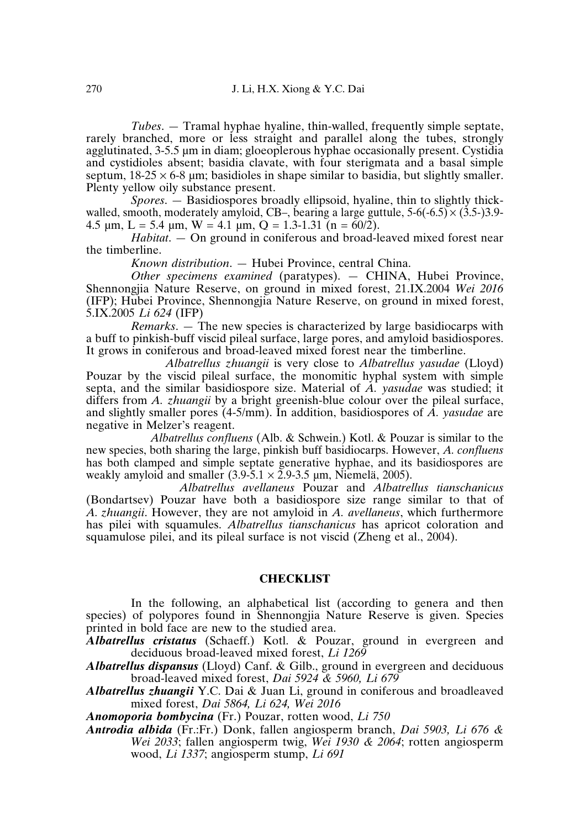*Tubes.* — Tramal hyphae hyaline, thin-walled, frequently simple septate, rarely branched, more or less straight and parallel along the tubes, strongly agglutinated, 3-5.5 µm in diam; gloeoplerous hyphae occasionally present. Cystidia and cystidioles absent; basidia clavate, with four sterigmata and a basal simple septum,  $18-25 \times 6-8$  um; basidioles in shape similar to basidia, but slightly smaller. Plenty yellow oily substance present.

*Spores*. — Basidiospores broadly ellipsoid, hyaline, thin to slightly thickwalled, smooth, moderately amyloid, CB–, bearing a large guttule,  $5-6(-6.5) \times (3.5-)3.9-$ 4.5  $\mu$ m, L = 5.4  $\mu$ m, W = 4.1  $\mu$ m, Q = 1.3-1.31 (n = 60/2).

*Habitat*. — On ground in coniferous and broad-leaved mixed forest near the timberline.

*Known distribution*. — Hubei Province, central China.

*Other specimens examined* (paratypes). — CHINA, Hubei Province, Shennongjia Nature Reserve, on ground in mixed forest, 21.IX.2004 *Wei 2016* (IFP); Hubei Province, Shennongjia Nature Reserve, on ground in mixed forest, 5.IX.2005 *Li 624* (IFP)

*Remarks*. — The new species is characterized by large basidiocarps with a buff to pinkish-buff viscid pileal surface, large pores, and amyloid basidiospores. It grows in coniferous and broad-leaved mixed forest near the timberline.

*Albatrellus zhuangii* is very close to *Albatrellus yasudae* (Lloyd) Pouzar by the viscid pileal surface, the monomitic hyphal system with simple septa, and the similar basidiospore size. Material of *A. yasudae* was studied; it differs from *A. zhuangii* by a bright greenish-blue colour over the pileal surface, and slightly smaller pores (4-5/mm). In addition, basidiospores of *A. yasudae* are negative in Melzer's reagent.

*Albatrellus confluens* (Alb. & Schwein.) Kotl. & Pouzar is similar to the new species, both sharing the large, pinkish buff basidiocarps. However, *A. confluens* has both clamped and simple septate generative hyphae, and its basidiospores are weakly amyloid and smaller  $(3.9-5.1 \times 2.9-3.5 \text{ µm})$ , Niemelä, 2005).

*Albatrellus avellaneus* Pouzar and *Albatrellus tianschanicus* (Bondartsev) Pouzar have both a basidiospore size range similar to that of *A. zhuangii*. However, they are not amyloid in *A. avellaneus*, which furthermore has pilei with squamules. *Albatrellus tianschanicus* has apricot coloration and squamulose pilei, and its pileal surface is not viscid (Zheng et al., 2004).

#### **CHECKLIST**

In the following, an alphabetical list (according to genera and then species) of polypores found in Shennongjia Nature Reserve is given. Species printed in bold face are new to the studied area.

*Albatrellus cristatus* (Schaeff.) Kotl. & Pouzar, ground in evergreen and deciduous broad-leaved mixed forest, *Li 1269*

*Albatrellus dispansus* (Lloyd) Canf. & Gilb., ground in evergreen and deciduous broad-leaved mixed forest, *Dai 5924 & 5960, Li 679*

*Albatrellus zhuangii* Y.C. Dai & Juan Li, ground in coniferous and broadleaved mixed forest, *Dai 5864, Li 624, Wei 2016*

*Anomoporia bombycina* (Fr.) Pouzar, rotten wood, *Li 750*

*Antrodia albida* (Fr.:Fr.) Donk, fallen angiosperm branch, *Dai 5903, Li 676 & Wei 2033*; fallen angiosperm twig, *Wei 1930 & 2064*; rotten angiosperm wood, *Li 1337*; angiosperm stump, *Li 691*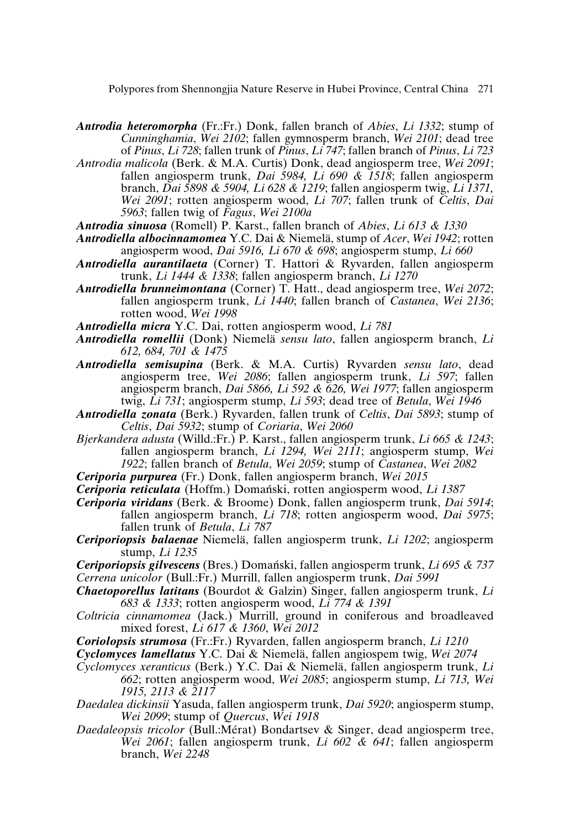- *Antrodia heteromorpha* (Fr.:Fr.) Donk, fallen branch of *Abies*, *Li 1332*; stump of *Cunninghamia*, *Wei 2102*; fallen gymnosperm branch, *Wei 2101*; dead tree of *Pinus*, *Li 728*; fallen trunk of *Pinus*, *Li 747*; fallen branch of *Pinus*, *Li 723*
- *Antrodia malicola* (Berk. & M.A. Curtis) Donk, dead angiosperm tree, *Wei 2091*; fallen angiosperm trunk, *Dai 5984, Li 690 & 1518*; fallen angiosperm branch, *Dai 5898 & 5904, Li 628 & 1219*; fallen angiosperm twig, *Li 1371, Wei 2091*; rotten angiosperm wood, *Li 707*; fallen trunk of *Celtis*, *Dai 5963*; fallen twig of *Fagus*, *Wei 2100a*
- *Antrodia sinuosa* (Romell) P. Karst., fallen branch of *Abies*, *Li 613 & 1330*
- *Antrodiella albocinnamomea* Y.C. Dai & Niemelä, stump of *Acer*, *Wei 1942*; rotten angiosperm wood, *Dai 5916, Li 670 & 698*; angiosperm stump, *Li 660*
- *Antrodiella aurantilaeta* (Corner) T. Hattori & Ryvarden, fallen angiosperm trunk, *Li 1444 & 1338*; fallen angiosperm branch, *Li 1270*
- *Antrodiella brunneimontana* (Corner) T. Hatt., dead angiosperm tree, *Wei 2072*; fallen angiosperm trunk, *Li 1440*; fallen branch of *Castanea*, *Wei 2136*; rotten wood, *Wei 1998*
- *Antrodiella micra* Y.C. Dai, rotten angiosperm wood, *Li 781*
- *Antrodiella romellii* (Donk) Niemelä *sensu lato*, fallen angiosperm branch, *Li 612, 684, 701 & 1475*
- *Antrodiella semisupina* (Berk. & M.A. Curtis) Ryvarden *sensu lato*, dead angiosperm tree, *Wei 2086*; fallen angiosperm trunk, *Li 597*; fallen angiosperm branch, *Dai 5866, Li 592 & 626, Wei 1977*; fallen angiosperm twig, *Li 731*; angiosperm stump, *Li 593*; dead tree of *Betula*, *Wei 1946*
- *Antrodiella zonata* (Berk.) Ryvarden, fallen trunk of *Celtis*, *Dai 5893*; stump of *Celtis*, *Dai 5932*; stump of *Coriaria*, *Wei 2060*
- *Bjerkandera adusta* (Willd.:Fr.) P. Karst., fallen angiosperm trunk, *Li 665 & 1243*; fallen angiosperm branch, *Li 1294, Wei 2111*; angiosperm stump, *Wei 1922*; fallen branch of *Betula*, *Wei 2059*; stump of *Castanea*, *Wei 2082*
- *Ceriporia purpurea* (Fr.) Donk, fallen angiosperm branch, *Wei 2015*
- *Ceriporia reticulata* (Hoffm.) Domański, rotten angiosperm wood, *Li 1387*
- *Ceriporia viridans* (Berk. & Broome) Donk, fallen angiosperm trunk, *Dai 5914*; fallen angiosperm branch, *Li 718*; rotten angiosperm wood, *Dai 5975*; fallen trunk of *Betula*, *Li 787*
- *Ceriporiopsis balaenae* Niemelä, fallen angiosperm trunk, *Li 1202*; angiosperm stump, *Li 1235*
- *Ceriporiopsis gilvescens* (Bres.) Domański, fallen angiosperm trunk, *Li 695 & 737 Cerrena unicolor* (Bull.:Fr.) Murrill, fallen angiosperm trunk, *Dai 5991*
- *Chaetoporellus latitans* (Bourdot & Galzin) Singer, fallen angiosperm trunk, *Li 683 & 1333*; rotten angiosperm wood, *Li 774 & 1391*
- *Coltricia cinnamomea* (Jack.) Murrill, ground in coniferous and broadleaved mixed forest, *Li 617 & 1360*, *Wei 2012*
- *Coriolopsis strumosa* (Fr.:Fr.) Ryvarden, fallen angiosperm branch, *Li 1210*
- *Cyclomyces lamellatus* Y.C. Dai & Niemelä, fallen angiospem twig, *Wei 2074*
- *Cyclomyces xeranticus* (Berk.) Y.C. Dai & Niemelä, fallen angiosperm trunk, *Li 662*; rotten angiosperm wood, *Wei 2085*; angiosperm stump, *Li 713, Wei 1915, 2113 & 2117*
- *Daedalea dickinsii* Yasuda, fallen angiosperm trunk, *Dai 5920*; angiosperm stump, *Wei 2099*; stump of *Quercus*, *Wei 1918*
- *Daedaleopsis tricolor* (Bull.:Mérat) Bondartsev & Singer, dead angiosperm tree, *Wei 2061*; fallen angiosperm trunk, *Li 602 & 641*; fallen angiosperm branch, *Wei 2248*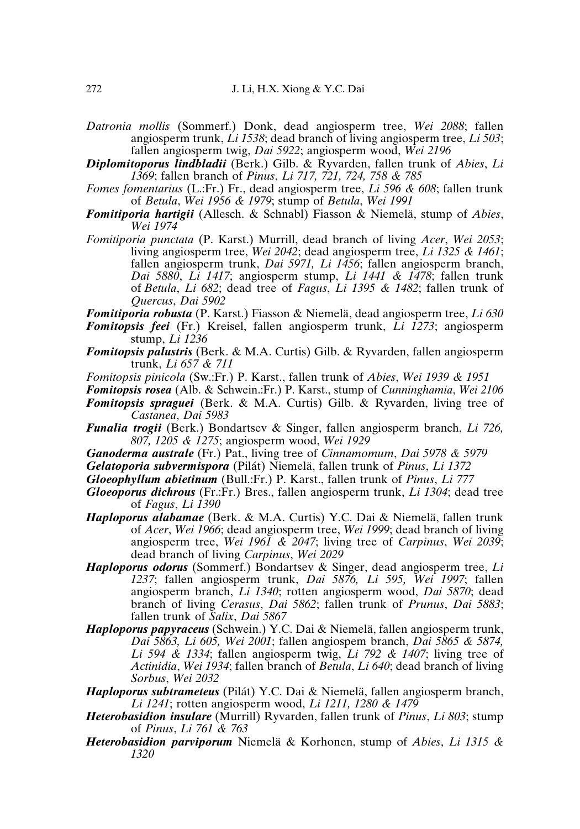- *Datronia mollis* (Sommerf.) Donk, dead angiosperm tree, *Wei 2088*; fallen angiosperm trunk, *Li 1538*; dead branch of living angiosperm tree, *Li 503*; fallen angiosperm twig, *Dai 5922*; angiosperm wood, *Wei 2196*
- *Diplomitoporus lindbladii* (Berk.) Gilb. & Ryvarden, fallen trunk of *Abies*, *Li 1369*; fallen branch of *Pinus*, *Li 717, 721, 724, 758 & 785*
- *Fomes fomentarius* (L.:Fr.) Fr., dead angiosperm tree, *Li 596 & 608*; fallen trunk of *Betula*, *Wei 1956 & 1979*; stump of *Betula*, *Wei 1991*
- *Fomitiporia hartigii* (Allesch. & Schnabl) Fiasson & Niemelä, stump of *Abies*, *Wei 1974*
- *Fomitiporia punctata* (P. Karst.) Murrill, dead branch of living *Acer*, *Wei 2053*; living angiosperm tree, *Wei 2042*; dead angiosperm tree, *Li 1325 & 1461*; fallen angiosperm trunk, *Dai 5971, Li 1456*; fallen angiosperm branch, *Dai 5880*, *Li 1417*; angiosperm stump, *Li 1441 & 1478*; fallen trunk of *Betula*, *Li 682*; dead tree of *Fagus*, *Li 1395 & 1482*; fallen trunk of *Quercus*, *Dai 5902*

*Fomitiporia robusta* (P. Karst.) Fiasson & Niemelä, dead angiosperm tree, *Li 630*

- *Fomitopsis feei* (Fr.) Kreisel, fallen angiosperm trunk, *Li 1273*; angiosperm stump, *Li 1236*
- *Fomitopsis palustris* (Berk. & M.A. Curtis) Gilb. & Ryvarden, fallen angiosperm trunk, *Li 657 & 711*
- *Fomitopsis pinicola* (Sw.:Fr.) P. Karst., fallen trunk of *Abies*, *Wei 1939 & 1951*
- *Fomitopsis rosea* (Alb. & Schwein.:Fr.) P. Karst., stump of *Cunninghamia*, *Wei 2106 Fomitopsis spraguei* (Berk. & M.A. Curtis) Gilb. & Ryvarden, living tree of *Castanea*, *Dai 5983*
- *Funalia trogii* (Berk.) Bondartsev & Singer, fallen angiosperm branch, *Li 726, 807, 1205 & 1275*; angiosperm wood, *Wei 1929*
- *Ganoderma australe* (Fr.) Pat., living tree of *Cinnamomum*, *Dai 5978 & 5979*
- *Gelatoporia subvermispora* (Pilát) Niemelä, fallen trunk of *Pinus*, *Li 1372*
- *Gloeophyllum abietinum* (Bull.:Fr.) P. Karst., fallen trunk of *Pinus*, *Li 777*
- *Gloeoporus dichrous* (Fr.:Fr.) Bres., fallen angiosperm trunk, *Li 1304*; dead tree of *Fagus*, *Li 1390*
- *Haploporus alabamae* (Berk. & M.A. Curtis) Y.C. Dai & Niemelä, fallen trunk of *Acer*, *Wei 1966*; dead angiosperm tree, *Wei 1999*; dead branch of living angiosperm tree, *Wei 1961 & 2047*; living tree of *Carpinus*, *Wei 2039*; dead branch of living *Carpinus*, *Wei 2029*
- *Haploporus odorus* (Sommerf.) Bondartsev & Singer, dead angiosperm tree, *Li 1237*; fallen angiosperm trunk, *Dai 5876, Li 595, Wei 1997*; fallen angiosperm branch, *Li 1340*; rotten angiosperm wood, *Dai 5870*; dead branch of living *Cerasus*, *Dai 5862*; fallen trunk of *Prunus*, *Dai 5883*; fallen trunk of *Salix*, *Dai 5867*
- *Haploporus papyraceus* (Schwein.) Y.C. Dai & Niemelä, fallen angiosperm trunk, *Dai 5863, Li 605, Wei 2001*; fallen angiospem branch, *Dai 5865 & 5874, Li 594 & 1334*; fallen angiosperm twig, *Li 792 & 1407*; living tree of *Actinidia*, *Wei 1934*; fallen branch of *Betula*, *Li 640*; dead branch of living *Sorbus*, *Wei 2032*
- *Haploporus subtrameteus* (Pilát) Y.C. Dai & Niemelä, fallen angiosperm branch, *Li 1241*; rotten angiosperm wood, *Li 1211, 1280 & 1479*
- *Heterobasidion insulare* (Murrill) Ryvarden, fallen trunk of *Pinus*, *Li 803*; stump of *Pinus*, *Li 761 & 763*
- *Heterobasidion parviporum* Niemelä & Korhonen, stump of *Abies*, *Li 1315 & 1320*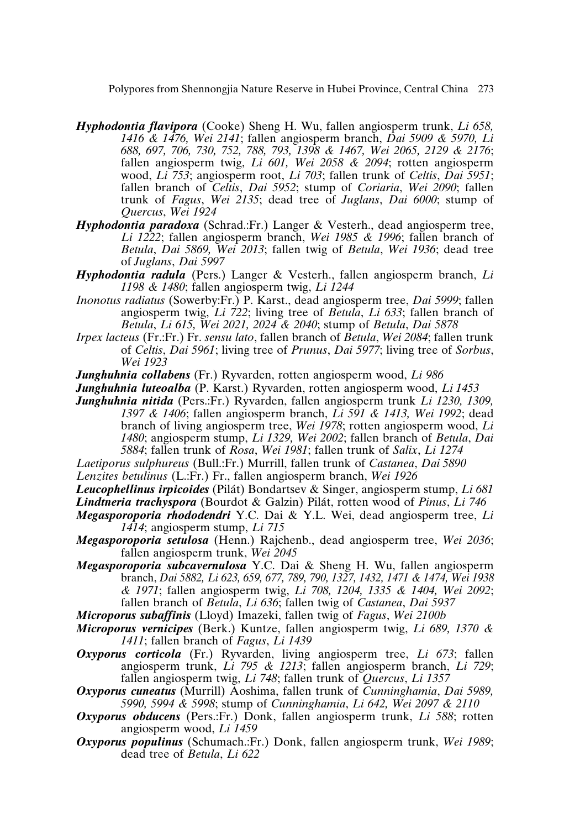- *Hyphodontia flavipora* (Cooke) Sheng H. Wu, fallen angiosperm trunk, *Li 658, 1416 & 1476, Wei 2141*; fallen angiosperm branch, *Dai 5909 & 5970, Li 688, 697, 706, 730, 752, 788, 793, 1398 & 1467, Wei 2065, 2129 & 2176*; fallen angiosperm twig, *Li 601, Wei 2058 & 2094*; rotten angiosperm wood, *Li 753*; angiosperm root, *Li 703*; fallen trunk of *Celtis*, *Dai 5951*; fallen branch of *Celtis*, *Dai 5952*; stump of *Coriaria*, *Wei 2090*; fallen trunk of *Fagus*, *Wei 2135*; dead tree of *Juglans*, *Dai 6000*; stump of *Quercus*, *Wei 1924*
- *Hyphodontia paradoxa* (Schrad.:Fr.) Langer & Vesterh., dead angiosperm tree, *Li 1222*; fallen angiosperm branch, *Wei 1985 & 1996*; fallen branch of *Betula*, *Dai 5869, Wei 2013*; fallen twig of *Betula*, *Wei 1936*; dead tree of *Juglans*, *Dai 5997*
- *Hyphodontia radula* (Pers.) Langer & Vesterh., fallen angiosperm branch, *Li 1198 & 1480*; fallen angiosperm twig, *Li 1244*
- *Inonotus radiatus* (Sowerby:Fr.) P. Karst., dead angiosperm tree, *Dai 5999*; fallen angiosperm twig, *Li 722*; living tree of *Betula*, *Li 633*; fallen branch of *Betula*, *Li 615, Wei 2021, 2024 & 2040*; stump of *Betula*, *Dai 5878*
- *Irpex lacteus* (Fr.:Fr.) Fr. *sensu lato*, fallen branch of *Betula*, *Wei 2084*; fallen trunk of *Celtis*, *Dai 5961*; living tree of *Prunus*, *Dai 5977*; living tree of *Sorbus*, *Wei 1923*
- *Junghuhnia collabens* (Fr.) Ryvarden, rotten angiosperm wood, *Li 986*
- *Junghuhnia luteoalba* (P. Karst.) Ryvarden, rotten angiosperm wood, *Li 1453*
- *Junghuhnia nitida* (Pers.:Fr.) Ryvarden, fallen angiosperm trunk *Li 1230, 1309, 1397 & 1406*; fallen angiosperm branch, *Li 591 & 1413, Wei 1992*; dead branch of living angiosperm tree, *Wei 1978*; rotten angiosperm wood, *Li 1480*; angiosperm stump, *Li 1329, Wei 2002*; fallen branch of *Betula*, *Dai 5884*; fallen trunk of *Rosa*, *Wei 1981*; fallen trunk of *Salix*, *Li 1274*
- *Laetiporus sulphureus* (Bull.:Fr.) Murrill, fallen trunk of *Castanea*, *Dai 5890*
- *Lenzites betulinus* (L.:Fr.) Fr., fallen angiosperm branch, *Wei 1926*
- *Leucophellinus irpicoides* (Pilát) Bondartsev & Singer, angiosperm stump, *Li 681*

*Lindtneria trachyspora* (Bourdot & Galzin) Pilát, rotten wood of *Pinus*, *Li 746*

- *Megasporoporia rhododendri* Y.C. Dai & Y.L. Wei, dead angiosperm tree, *Li 1414*; angiosperm stump, *Li 715*
- *Megasporoporia setulosa* (Henn.) Rajchenb., dead angiosperm tree, *Wei 2036*; fallen angiosperm trunk, *Wei 2045*
- *Megasporoporia subcavernulosa* Y.C. Dai & Sheng H. Wu, fallen angiosperm branch, *Dai 5882, Li 623, 659, 677, 789, 790, 1327, 1432, 1471 & 1474, Wei 1938 & 1971*; fallen angiosperm twig, *Li 708, 1204, 1335 & 1404, Wei 2092*; fallen branch of *Betula*, *Li 636*; fallen twig of *Castanea*, *Dai 5937*

*Microporus subaffinis* (Lloyd) Imazeki, fallen twig of *Fagus*, *Wei 2100b*

- *Microporus vernicipes* (Berk.) Kuntze, fallen angiosperm twig, *Li 689, 1370 & 1411*; fallen branch of *Fagus*, *Li 1439*
- *Oxyporus corticola* (Fr.) Ryvarden, living angiosperm tree, *Li 673*; fallen angiosperm trunk, *Li 795 & 1213*; fallen angiosperm branch, *Li 729*; fallen angiosperm twig, *Li 748*; fallen trunk of *Quercus*, *Li 1357*
- *Oxyporus cuneatus* (Murrill) Aoshima, fallen trunk of *Cunninghamia*, *Dai 5989, 5990, 5994 & 5998*; stump of *Cunninghamia*, *Li 642, Wei 2097 & 2110*
- *Oxyporus obducens* (Pers.:Fr.) Donk, fallen angiosperm trunk, *Li 588*; rotten angiosperm wood, *Li 1459*
- *Oxyporus populinus* (Schumach.:Fr.) Donk, fallen angiosperm trunk, *Wei 1989*; dead tree of *Betula*, *Li 622*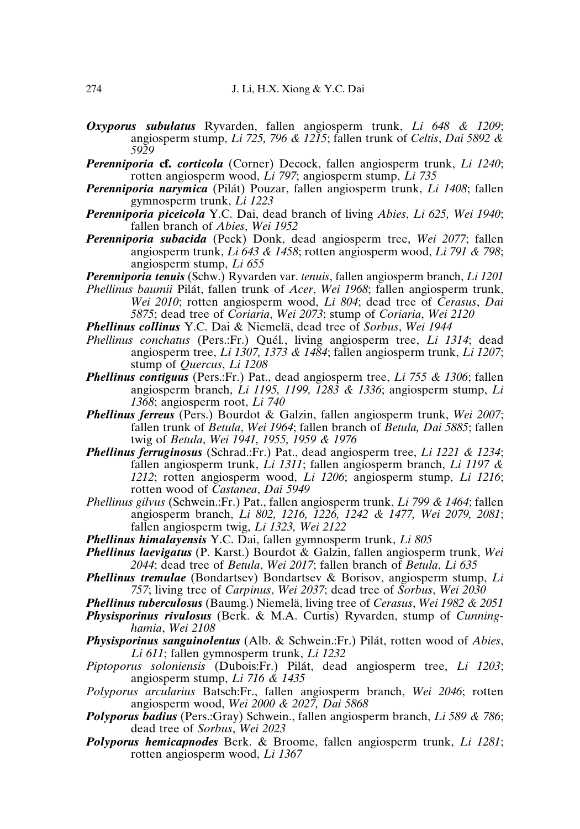- *Oxyporus subulatus* Ryvarden, fallen angiosperm trunk, *Li 648 & 1209*; angiosperm stump, *Li 725, 796 & 1215*; fallen trunk of *Celtis*, *Dai 5892 & 5929*
- *Perenniporia* **cf.** *corticola* (Corner) Decock, fallen angiosperm trunk, *Li 1240*; rotten angiosperm wood, *Li 797*; angiosperm stump, *Li 735*
- *Perenniporia narymica* (Pilát) Pouzar, fallen angiosperm trunk, *Li 1408*; fallen gymnosperm trunk, *Li 1223*
- *Perenniporia piceicola* Y.C. Dai, dead branch of living *Abies*, *Li 625, Wei 1940*; fallen branch of *Abies*, *Wei 1952*
- *Perenniporia subacida* (Peck) Donk, dead angiosperm tree, *Wei 2077*; fallen angiosperm trunk, *Li 643 & 1458*; rotten angiosperm wood, *Li 791 & 798*; angiosperm stump, *Li 655*
- *Perenniporia tenuis* (Schw.) Ryvarden var. *tenuis*, fallen angiosperm branch, *Li 1201*
- *Phellinus baumii* Pilát, fallen trunk of *Acer*, *Wei 1968*; fallen angiosperm trunk, *Wei 2010*; rotten angiosperm wood, *Li 804*; dead tree of *Cerasus*, *Dai 5875*; dead tree of *Coriaria*, *Wei 2073*; stump of *Coriaria*, *Wei 2120*
- *Phellinus collinus* Y.C. Dai & Niemelä, dead tree of *Sorbus*, *Wei 1944*
- *Phellinus conchatus* (Pers.:Fr.) Quél*.*, living angiosperm tree, *Li 1314*; dead angiosperm tree, *Li 1307, 1373 & 1484*; fallen angiosperm trunk, *Li 1207*; stump of *Quercus*, *Li 1208*
- *Phellinus contiguus* (Pers.:Fr.) Pat., dead angiosperm tree, *Li 755 & 1306*; fallen angiosperm branch, *Li 1195, 1199, 1283 & 1336*; angiosperm stump, *Li 1368*; angiosperm root, *Li 740*
- *Phellinus ferreus* (Pers.) Bourdot & Galzin, fallen angiosperm trunk, *Wei 2007*; fallen trunk of *Betula*, *Wei 1964*; fallen branch of *Betula, Dai 5885*; fallen twig of *Betula*, *Wei 1941, 1955, 1959 & 1976*
- *Phellinus ferruginosus* (Schrad.:Fr.) Pat., dead angiosperm tree, *Li 1221 & 1234*; fallen angiosperm trunk, *Li 1311*; fallen angiosperm branch, *Li 1197 & 1212*; rotten angiosperm wood, *Li 1206*; angiosperm stump, *Li 1216*; rotten wood of *Castanea*, *Dai 5949*
- *Phellinus gilvus* (Schwein.:Fr.) Pat., fallen angiosperm trunk, *Li 799 & 1464*; fallen angiosperm branch, *Li 802, 1216, 1226, 1242 & 1477, Wei 2079, 2081*; fallen angiosperm twig, *Li 1323, Wei 2122*
- *Phellinus himalayensis* Y.C. Dai, fallen gymnosperm trunk, *Li 805*
- *Phellinus laevigatus* (P. Karst.) Bourdot & Galzin, fallen angiosperm trunk, *Wei 2044*; dead tree of *Betula*, *Wei 2017*; fallen branch of *Betula*, *Li 635*
- *Phellinus tremulae* (Bondartsev) Bondartsev & Borisov, angiosperm stump, *Li 757*; living tree of *Carpinus*, *Wei 2037*; dead tree of *Sorbus*, *Wei 2030*
- *Phellinus tuberculosus* (Baumg.) Niemelä, living tree of *Cerasus*, *Wei 1982 & 2051*
- *Physisporinus rivulosus* (Berk. & M.A. Curtis) Ryvarden, stump of *Cunninghamia*, *Wei 2108*
- *Physisporinus sanguinolentus* (Alb. & Schwein.:Fr.) Pilát, rotten wood of *Abies*, *Li 611*; fallen gymnosperm trunk, *Li 1232*
- *Piptoporus soloniensis* (Dubois:Fr.) Pilát, dead angiosperm tree, *Li 1203*; angiosperm stump, *Li 716 & 1435*
- *Polyporus arcularius* Batsch:Fr., fallen angiosperm branch, *Wei 2046*; rotten angiosperm wood, *Wei 2000 & 2027, Dai 5868*
- *Polyporus badius* (Pers.:Gray) Schwein., fallen angiosperm branch, *Li 589 & 786*; dead tree of *Sorbus*, *Wei 2023*
- *Polyporus hemicapnodes* Berk. & Broome, fallen angiosperm trunk, *Li 1281*; rotten angiosperm wood, *Li 1367*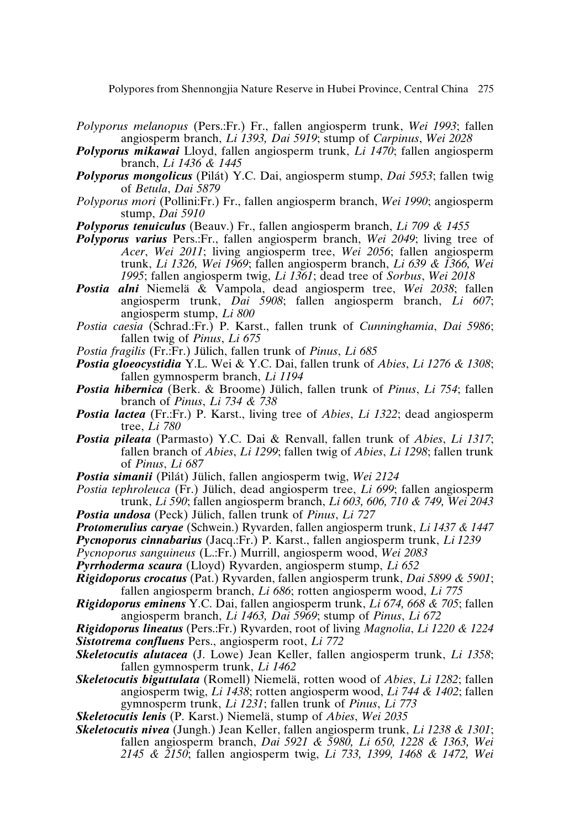- *Polyporus melanopus* (Pers.:Fr.) Fr., fallen angiosperm trunk, *Wei 1993*; fallen angiosperm branch, *Li 1393, Dai 5919*; stump of *Carpinus*, *Wei 2028*
- *Polyporus mikawai* Lloyd, fallen angiosperm trunk, *Li 1470*; fallen angiosperm branch, *Li 1436 & 1445*
- *Polyporus mongolicus* (Pilát) Y.C. Dai, angiosperm stump, *Dai 5953*; fallen twig of *Betula*, *Dai 5879*
- *Polyporus mori* (Pollini:Fr.) Fr., fallen angiosperm branch, *Wei 1990*; angiosperm stump, *Dai 5910*
- *Polyporus tenuiculus* (Beauv.) Fr., fallen angiosperm branch, *Li 709 & 1455*
- *Polyporus varius* Pers.:Fr., fallen angiosperm branch, *Wei 2049*; living tree of *Acer*, *Wei 2011*; living angiosperm tree, *Wei 2056*; fallen angiosperm trunk, *Li 1326, Wei 1969*; fallen angiosperm branch, *Li 639 & 1366, Wei 1995*; fallen angiosperm twig, *Li 1361*; dead tree of *Sorbus*, *Wei 2018*
- *Postia alni* Niemelä & Vampola, dead angiosperm tree, *Wei 2038*; fallen angiosperm trunk, *Dai 5908*; fallen angiosperm branch, *Li 607*; angiosperm stump, *Li 800*
- *Postia caesia* (Schrad.:Fr.) P. Karst., fallen trunk of *Cunninghamia*, *Dai 5986*; fallen twig of *Pinus*, *Li 675*
- *Postia fragilis* (Fr.:Fr.) Jülich, fallen trunk of *Pinus*, *Li 685*
- *Postia gloeocystidia* Y.L. Wei & Y.C. Dai, fallen trunk of *Abies*, *Li 1276 & 1308*; fallen gymnosperm branch, *Li 1194*
- *Postia hibernica* (Berk. & Broome) Jülich, fallen trunk of *Pinus*, *Li 754*; fallen branch of *Pinus*, *Li 734 & 738*
- *Postia lactea* (Fr.:Fr.) P. Karst., living tree of *Abies*, *Li 1322*; dead angiosperm tree, *Li 780*
- *Postia pileata* (Parmasto) Y.C. Dai & Renvall, fallen trunk of *Abies*, *Li 1317*; fallen branch of *Abies*, *Li 1299*; fallen twig of *Abies*, *Li 1298*; fallen trunk of *Pinus*, *Li 687*
- *Postia simanii* (Pilát) Jülich, fallen angiosperm twig, *Wei 2124*
- *Postia tephroleuca* (Fr.) Jülich, dead angiosperm tree, *Li 699*; fallen angiosperm trunk, *Li 590*; fallen angiosperm branch, *Li 603, 606, 710 & 749, Wei 2043 Postia undosa* (Peck) Jülich, fallen trunk of *Pinus*, *Li 727*
- 
- *Protomerulius caryae* (Schwein.) Ryvarden, fallen angiosperm trunk, *Li 1437 & 1447*

*Pycnoporus cinnabarius* (Jacq.:Fr.) P. Karst., fallen angiosperm trunk, *Li 1239*

- *Pycnoporus sanguineus* (L.:Fr.) Murrill, angiosperm wood, *Wei 2083*
- *Pyrrhoderma scaura* (Lloyd) Ryvarden, angiosperm stump, *Li 652*
- *Rigidoporus crocatus* (Pat.) Ryvarden, fallen angiosperm trunk, *Dai 5899 & 5901*; fallen angiosperm branch, *Li 686*; rotten angiosperm wood, *Li 775*
- *Rigidoporus eminens* Y.C. Dai, fallen angiosperm trunk, *Li 674, 668 & 705*; fallen angiosperm branch, *Li 1463, Dai 5969*; stump of *Pinus*, *Li 672*
- *Rigidoporus lineatus* (Pers.:Fr.) Ryvarden, root of living *Magnolia*, *Li 1220 & 1224 Sistotrema confluens* Pers., angiosperm root, *Li 772*
- *Skeletocutis alutacea* (J. Lowe) Jean Keller, fallen angiosperm trunk, *Li 1358*; fallen gymnosperm trunk, *Li 1462*
- *Skeletocutis biguttulata* (Romell) Niemelä, rotten wood of *Abies*, *Li 1282*; fallen angiosperm twig, *Li 1438*; rotten angiosperm wood, *Li 744 & 1402*; fallen gymnosperm trunk, *Li 1231*; fallen trunk of *Pinus*, *Li 773*
- *Skeletocutis lenis* (P. Karst.) Niemelä, stump of *Abies*, *Wei 2035*
- *Skeletocutis nivea* (Jungh.) Jean Keller, fallen angiosperm trunk, *Li 1238 & 1301*; fallen angiosperm branch, *Dai 5921 & 5980, Li 650, 1228 & 1363, Wei 2145 & 2150*; fallen angiosperm twig, *Li 733, 1399, 1468 & 1472, Wei*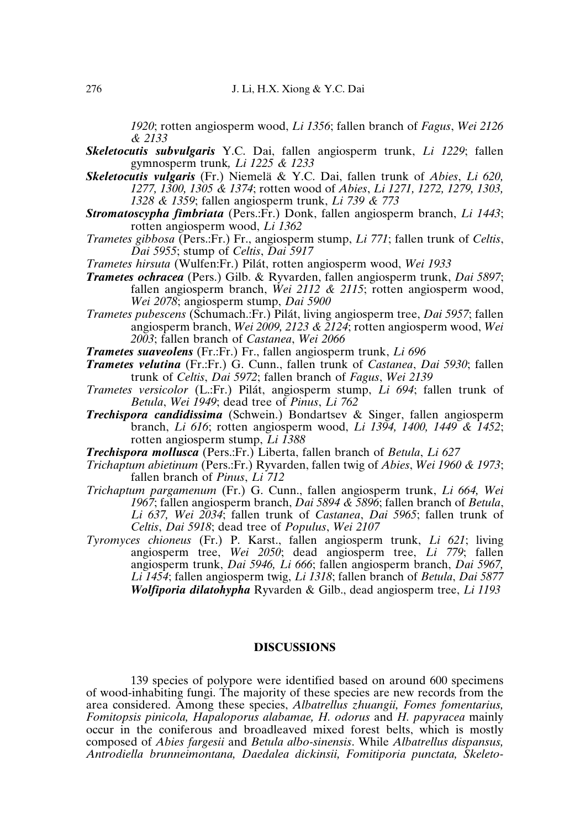*1920*; rotten angiosperm wood, *Li 1356*; fallen branch of *Fagus*, *Wei 2126 & 2133*

- *Skeletocutis subvulgaris* Y.C. Dai, fallen angiosperm trunk, *Li 1229*; fallen gymnosperm trunk*, Li 1225 & 1233*
- *Skeletocutis vulgaris* (Fr.) Niemelä & Y.C. Dai, fallen trunk of *Abies*, *Li 620, 1277, 1300, 1305 & 1374*; rotten wood of *Abies*, *Li 1271, 1272, 1279, 1303, 1328 & 1359*; fallen angiosperm trunk, *Li 739 & 773*
- *Stromatoscypha fimbriata* (Pers.:Fr.) Donk, fallen angiosperm branch, *Li 1443*; rotten angiosperm wood, *Li 1362*
- *Trametes gibbosa* (Pers.:Fr.) Fr., angiosperm stump, *Li 771*; fallen trunk of *Celtis*, *Dai 5955*; stump of *Celtis*, *Dai 5917*
- *Trametes hirsuta* (Wulfen:Fr.) Pilát, rotten angiosperm wood, *Wei 1933*
- *Trametes ochracea* (Pers.) Gilb. & Ryvarden, fallen angiosperm trunk, *Dai 5897*; fallen angiosperm branch, *Wei 2112 & 2115*; rotten angiosperm wood, *Wei 2078*; angiosperm stump, *Dai 5900*
- *Trametes pubescens* (Schumach.:Fr.) Pilát, living angiosperm tree, *Dai 5957*; fallen angiosperm branch, *Wei 2009, 2123 & 2124*; rotten angiosperm wood, *Wei 2003*; fallen branch of *Castanea*, *Wei 2066*

*Trametes suaveolens* (Fr.:Fr.) Fr., fallen angiosperm trunk, *Li 696*

- *Trametes velutina* (Fr.:Fr.) G. Cunn., fallen trunk of *Castanea*, *Dai 5930*; fallen trunk of *Celtis*, *Dai 5972*; fallen branch of *Fagus*, *Wei 2139*
- *Trametes versicolor* (L.:Fr.) Pilát, angiosperm stump, *Li 694*; fallen trunk of *Betula*, *Wei 1949*; dead tree of *Pinus*, *Li 762*
- *Trechispora candidissima* (Schwein.) Bondartsev & Singer, fallen angiosperm branch, *Li 616*; rotten angiosperm wood, *Li 1394, 1400, 1449 & 1452*; rotten angiosperm stump, *Li 1388*
- *Trechispora mollusca* (Pers.:Fr.) Liberta, fallen branch of *Betula*, *Li 627*
- *Trichaptum abietinum* (Pers.:Fr.) Ryvarden, fallen twig of *Abies*, *Wei 1960 & 1973*; fallen branch of *Pinus*, *Li 712*
- *Trichaptum pargamenum* (Fr.) G. Cunn., fallen angiosperm trunk, *Li 664, Wei 1967*; fallen angiosperm branch, *Dai 5894 & 5896*; fallen branch of *Betula*, *Li 637, Wei 2034*; fallen trunk of *Castanea*, *Dai 5965*; fallen trunk of *Celtis*, *Dai 5918*; dead tree of *Populus*, *Wei 2107*
- *Tyromyces chioneus* (Fr.) P. Karst., fallen angiosperm trunk, *Li 621*; living angiosperm tree, *Wei 2050*; dead angiosperm tree, *Li 779*; fallen angiosperm trunk, *Dai 5946, Li 666*; fallen angiosperm branch, *Dai 5967, Li 1454*; fallen angiosperm twig, *Li 1318*; fallen branch of *Betula*, *Dai 5877 Wolfiporia dilatohypha* Ryvarden & Gilb., dead angiosperm tree, *Li 1193*

#### **DISCUSSIONS**

139 species of polypore were identified based on around 600 specimens of wood-inhabiting fungi. The majority of these species are new records from the area considered. Among these species, *Albatrellus zhuangii, Fomes fomentarius, Fomitopsis pinicola, Hapaloporus alabamae, H. odorus* and *H. papyracea* mainly occur in the coniferous and broadleaved mixed forest belts, which is mostly composed of *Abies fargesii* and *Betula albo-sinensis*. While *Albatrellus dispansus, Antrodiella brunneimontana, Daedalea dickinsii, Fomitiporia punctata, Skeleto-*